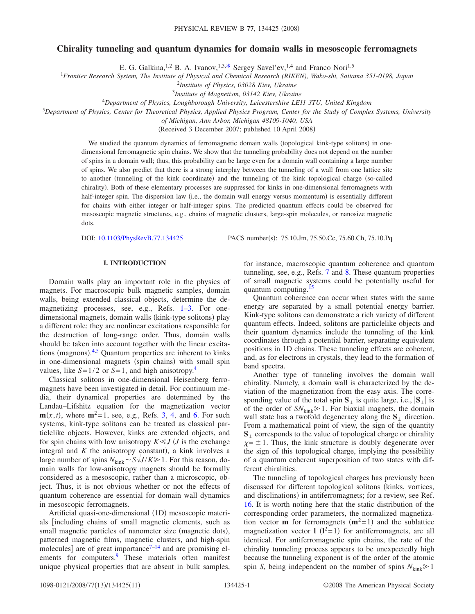# **Chirality tunneling and quantum dynamics for domain walls in mesoscopic ferromagnets**

E. G. Galkina,<sup>1,2</sup> B. A. Ivanov,<sup>1,3[,\\*](#page-10-0)</sup> Sergey Savel'ev,<sup>1,4</sup> and Franco Nori<sup>1,5</sup>

1 *Frontier Research System, The Institute of Physical and Chemical Research (RIKEN), Wako-shi, Saitama 351-0198, Japan*

<sup>2</sup>*Institute of Physics, 03028 Kiev, Ukraine*

3 *Institute of Magnetism, 03142 Kiev, Ukraine*

<sup>4</sup>*Department of Physics, Loughborough University, Leicestershire LE11 3TU, United Kingdom*

<sup>5</sup>*Department of Physics, Center for Theoretical Physics, Applied Physics Program, Center for the Study of Complex Systems, University*

*of Michigan, Ann Arbor, Michigan 48109-1040, USA*

(Received 3 December 2007; published 10 April 2008)

We studied the quantum dynamics of ferromagnetic domain walls (topological kink-type solitons) in onedimensional ferromagnetic spin chains. We show that the tunneling probability does not depend on the number of spins in a domain wall; thus, this probability can be large even for a domain wall containing a large number of spins. We also predict that there is a strong interplay between the tunneling of a wall from one lattice site to another (tunneling of the kink coordinate) and the tunneling of the kink topological charge (so-called chirality). Both of these elementary processes are suppressed for kinks in one-dimensional ferromagnets with half-integer spin. The dispersion law (i.e., the domain wall energy versus momentum) is essentially different for chains with either integer or half-integer spins. The predicted quantum effects could be observed for mesoscopic magnetic structures, e.g., chains of magnetic clusters, large-spin molecules, or nanosize magnetic dots.

DOI: [10.1103/PhysRevB.77.134425](http://dx.doi.org/10.1103/PhysRevB.77.134425)

PACS number(s): 75.10.Jm, 75.50.Cc, 75.60.Ch, 75.10.Pq

## **I. INTRODUCTION**

Domain walls play an important role in the physics of magnets. For macroscopic bulk magnetic samples, domain walls, being extended classical objects, determine the demagnetizing processes, see, e.g., Refs. [1](#page-10-1)[–3.](#page-10-2) For onedimensional magnets, domain walls (kink-type solitons) play a different role: they are nonlinear excitations responsible for the destruction of long-range order. Thus, domain walls should be taken into account together with the linear excita-tions (magnons).<sup>[4,](#page-10-3)[5](#page-10-4)</sup> Quantum properties are inherent to kinks in one-dimensional magnets (spin chains) with small spin values, like  $S=1/2$  or  $S=1$ , and high anisotropy.<sup>4</sup>

Classical solitons in one-dimensional Heisenberg ferromagnets have been investigated in detail. For continuum media, their dynamical properties are determined by the Landau–Lifshitz equation for the magnetization vector  $\mathbf{m}(x,t)$ , where  $\mathbf{m}^2 = 1$ , see, e.g., Refs. [3,](#page-10-2) [4,](#page-10-3) and [6.](#page-10-5) For such systems, kink-type solitons can be treated as classical particlelike objects. However, kinks are extended objects, and for spin chains with low anisotropy  $K \ll J$  (*J* is the exchange integral and  $K$  the anisotropy constant), a kink involves a large number of spins  $N_{\text{kink}} \sim S\sqrt{J/K} \ge 1$ . For this reason, domain walls for low-anisotropy magnets should be formally considered as a mesoscopic, rather than a microscopic, object. Thus, it is not obvious whether or not the effects of quantum coherence are essential for domain wall dynamics in mesoscopic ferromagnets.

Artificial quasi-one-dimensional (1D) mesoscopic materials including chains of small magnetic elements, such as small magnetic particles of nanometer size (magnetic dots), patterned magnetic films, magnetic clusters, and high-spin molecules] are of great importance $7-14$  $7-14$  and are promising elements for computers.<sup>9</sup> These materials often manifest unique physical properties that are absent in bulk samples, for instance, macroscopic quantum coherence and quantum tunneling, see, e.g., Refs. [7](#page-10-6) and [8.](#page-10-9) These quantum properties of small magnetic systems could be potentially useful for quantum computing.<sup>15</sup>

Quantum coherence can occur when states with the same energy are separated by a small potential energy barrier. Kink-type solitons can demonstrate a rich variety of different quantum effects. Indeed, solitons are particlelike objects and their quantum dynamics include the tunneling of the kink coordinates through a potential barrier, separating equivalent positions in 1D chains. These tunneling effects are coherent, and, as for electrons in crystals, they lead to the formation of band spectra.

Another type of tunneling involves the domain wall chirality. Namely, a domain wall is characterized by the deviation of the magnetization from the easy axis. The corresponding value of the total spin  $S_{\perp}$  is quite large, i.e.,  $|S_{\perp}|$  is of the order of  $SN_{kink} \geq 1$ . For biaxial magnets, the domain wall state has a twofold degeneracy along the  $S_1$  direction. From a mathematical point of view, the sign of the quantity  $S<sub>1</sub>$  corresponds to the value of topological charge or chirality  $\chi = \pm 1$ . Thus, the kink structure is doubly degenerate over the sign of this topological charge, implying the possibility of a quantum coherent superposition of two states with different chiralities.

The tunneling of topological charges has previously been discussed for different topological solitons (kinks, vortices, and disclinations) in antiferromagnets; for a review, see Ref. [16.](#page-10-11) It is worth noting here that the static distribution of the corresponding order parameters, the normalized magnetization vector **m** for ferromagnets  $(m^2=1)$  and the sublattice magnetization vector  $l(l^2=1)$  for antiferromagnets, are all identical. For antiferromagnetic spin chains, the rate of the chirality tunneling process appears to be unexpectedly high because the tunneling exponent is of the order of the atomic spin *S*, being independent on the number of spins  $N_{\text{kink}} \geq 1$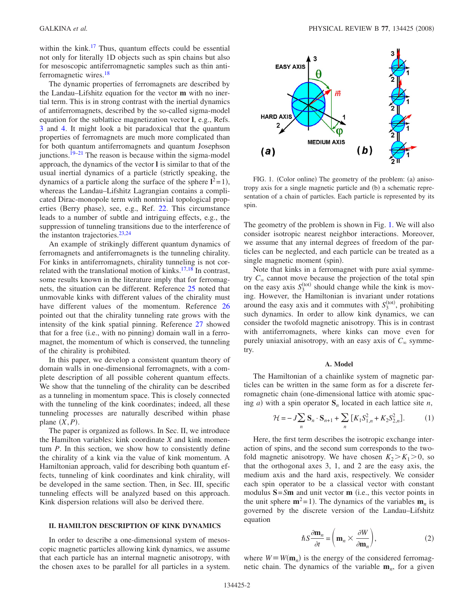within the kink.<sup>17</sup> Thus, quantum effects could be essential not only for literally 1D objects such as spin chains but also for mesoscopic antiferromagnetic samples such as thin antiferromagnetic wires.<sup>18</sup>

The dynamic properties of ferromagnets are described by the Landau–Lifshitz equation for the vector **m** with no inertial term. This is in strong contrast with the inertial dynamics of antiferromagnets, described by the so-called sigma-model equation for the sublattice magnetization vector **l**, e.g., Refs. [3](#page-10-2) and [4.](#page-10-3) It might look a bit paradoxical that the quantum properties of ferromagnets are much more complicated than for both quantum antiferromagnets and quantum Josephson junctions.<sup>19–[21](#page-10-15)</sup> The reason is because within the sigma-model approach, the dynamics of the vector **l** is similar to that of the usual inertial dynamics of a particle (strictly speaking, the dynamics of a particle along the surface of the sphere  $I^2 = 1$ ), whereas the Landau–Lifshitz Lagrangian contains a complicated Dirac-monopole term with nontrivial topological prop-erties (Berry phase), see, e.g., Ref. [22.](#page-10-16) This circumstance leads to a number of subtle and intriguing effects, e.g., the suppression of tunneling transitions due to the interference of the instanton trajectories. $23,24$  $23,24$ 

An example of strikingly different quantum dynamics of ferromagnets and antiferromagnets is the tunneling chirality. For kinks in antiferromagnets, chirality tunneling is not correlated with the translational motion of kinks. $17,18$  $17,18$  In contrast, some results known in the literature imply that for ferromagnets, the situation can be different. Reference [25](#page-10-19) noted that unmovable kinks with different values of the chirality must have different values of the momentum. Reference [26](#page-10-20) pointed out that the chirality tunneling rate grows with the intensity of the kink spatial pinning. Reference [27](#page-10-21) showed that for a free (i.e., with no pinning) domain wall in a ferromagnet, the momentum of which is conserved, the tunneling of the chirality is prohibited.

In this paper, we develop a consistent quantum theory of domain walls in one-dimensional ferromagnets, with a complete description of all possible coherent quantum effects. We show that the tunneling of the chirality can be described as a tunneling in momentum space. This is closely connected with the tunneling of the kink coordinates; indeed, all these tunneling processes are naturally described within phase plane  $(X, P)$ .

The paper is organized as follows. In Sec. II, we introduce the Hamilton variables: kink coordinate *X* and kink momentum *P*. In this section, we show how to consistently define the chirality of a kink via the value of kink momentum. A Hamiltonian approach, valid for describing both quantum effects, tunneling of kink coordinates and kink chirality, will be developed in the same section. Then, in Sec. III, specific tunneling effects will be analyzed based on this approach. Kink dispersion relations will also be derived there.

### **II. HAMILTON DESCRIPTION OF KINK DYNAMICS**

In order to describe a one-dimensional system of mesoscopic magnetic particles allowing kink dynamics, we assume that each particle has an internal magnetic anisotropy, with the chosen axes to be parallel for all particles in a system.

<span id="page-1-0"></span>

FIG. 1. (Color online) The geometry of the problem: (a) anisotropy axis for a single magnetic particle and (b) a schematic representation of a chain of particles. Each particle is represented by its spin.

The geometry of the problem is shown in Fig. [1.](#page-1-0) We will also consider isotropic nearest neighbor interactions. Moreover, we assume that any internal degrees of freedom of the particles can be neglected, and each particle can be treated as a single magnetic moment (spin).

Note that kinks in a ferromagnet with pure axial symmetry  $C_{\infty}$  cannot move because the projection of the total spin on the easy axis  $S_3^{\text{(tot)}}$  should change while the kink is moving. However, the Hamiltonian is invariant under rotations around the easy axis and it commutes with  $S_3^{\text{(tot)}}$ , prohibiting such dynamics. In order to allow kink dynamics, we can consider the twofold magnetic anisotropy. This is in contrast with antiferromagnets, where kinks can move even for purely uniaxial anisotropy, with an easy axis of  $C_{\infty}$  symmetry.

#### **A. Model**

The Hamiltonian of a chainlike system of magnetic particles can be written in the same form as for a discrete ferromagnetic chain (one-dimensional lattice with atomic spacing *a*) with a spin operator  $S_n$  located in each lattice site *n*,

$$
\mathcal{H} = -J\sum_{n} \mathbf{S}_{n} \cdot \mathbf{S}_{n+1} + \sum_{n} \left[ K_{1} S_{1,n}^{2} + K_{2} S_{2,n}^{2} \right]. \tag{1}
$$

<span id="page-1-2"></span>Here, the first term describes the isotropic exchange interaction of spins, and the second sum corresponds to the twofold magnetic anisotropy. We have chosen  $K_2 > K_1 > 0$ , so that the orthogonal axes 3, 1, and 2 are the easy axis, the medium axis and the hard axis, respectively. We consider each spin operator to be a classical vector with constant modulus  $S = Sm$  and unit vector  $m$  (i.e., this vector points in the unit sphere  $m^2 = 1$ ). The dynamics of the variables  $m<sub>n</sub>$  is governed by the discrete version of the Landau–Lifshitz equation

$$
\hbar S \frac{\partial \mathbf{m}_n}{\partial t} = \left( \mathbf{m}_n \times \frac{\partial W}{\partial \mathbf{m}_n} \right),\tag{2}
$$

<span id="page-1-1"></span>where  $W \equiv W(\mathbf{m}_n)$  is the energy of the considered ferromagnetic chain. The dynamics of the variable **m***n*, for a given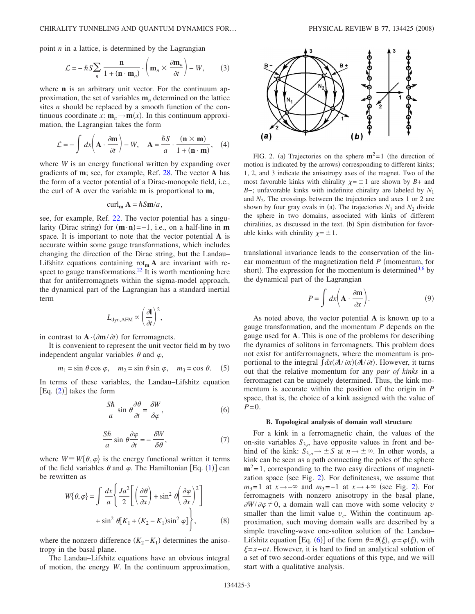point *n* in a lattice, is determined by the Lagrangian

$$
\mathcal{L} = -\hbar S \sum_{n} \frac{\mathbf{n}}{1 + (\mathbf{n} \cdot \mathbf{m}_n)} \cdot \left( \mathbf{m}_n \times \frac{\partial \mathbf{m}_n}{\partial t} \right) - W, \tag{3}
$$

where **n** is an arbitrary unit vector. For the continuum approximation, the set of variables **m***<sup>n</sup>* determined on the lattice sites *n* should be replaced by a smooth function of the continuous coordinate *x*:  $\mathbf{m}_n \rightarrow \mathbf{m}(x)$ . In this continuum approximation, the Lagrangian takes the form

<span id="page-2-2"></span>
$$
\mathcal{L} = -\int dx \left( \mathbf{A} \cdot \frac{\partial \mathbf{m}}{\partial t} \right) - W, \quad \mathbf{A} = \frac{\hbar S}{a} \cdot \frac{(\mathbf{n} \times \mathbf{m})}{1 + (\mathbf{n} \cdot \mathbf{m})}, \quad (4)
$$

where *W* is an energy functional written by expanding over gradients of **m**; see, for example, Ref. [28.](#page-10-22) The vector **A** has the form of a vector potential of a Dirac-monopole field, i.e., the curl of **A** over the variable **m** is proportional to **m**,

$$
\operatorname{curl}_{\mathbf{m}} \mathbf{A} = \hbar S \mathbf{m}/a,
$$

see, for example, Ref. [22.](#page-10-16) The vector potential has a singularity (Dirac string) for  $(m \cdot n) = -1$ , i.e., on a half-line in **m** space. It is important to note that the vector potential **A** is accurate within some gauge transformations, which includes changing the direction of the Dirac string, but the Landau– Lifshitz equations containing rot**<sup>m</sup> A** are invariant with respect to gauge transformations.<sup>22</sup> It is worth mentioning here that for antiferromagnets within the sigma-model approach, the dynamical part of the Lagrangian has a standard inertial term

$$
L_{\rm dyn, AFM} \propto \left(\frac{\partial \mathbf{l}}{\partial t}\right)^2,
$$

in contrast to  $\mathbf{A} \cdot (\partial \mathbf{m}/\partial t)$  for ferromagnets.

It is convenient to represent the unit vector field **m** by two independent angular variables  $\theta$  and  $\varphi$ ,

$$
m_1 = \sin \theta \cos \varphi
$$
,  $m_2 = \sin \theta \sin \varphi$ ,  $m_3 = \cos \theta$ . (5)

<span id="page-2-1"></span>In terms of these variables, the Landau–Lifshitz equation  $[Eq. (2)]$  $[Eq. (2)]$  $[Eq. (2)]$  takes the form

$$
\frac{S\hbar}{a}\sin\theta\frac{\partial\theta}{\partial t} = \frac{\delta W}{\delta\varphi},\qquad(6)
$$

$$
\frac{S\hbar}{a}\sin\theta\frac{\partial\varphi}{\partial t} = -\frac{\delta W}{\delta\theta},\qquad(7)
$$

<span id="page-2-3"></span>where  $W \equiv W\{\theta, \varphi\}$  is the energy functional written it terms of the field variables  $\theta$  and  $\varphi$ . The Hamiltonian [Eq. ([1](#page-1-2))] can be rewritten as

$$
W\{\theta,\varphi\} = \int \frac{dx}{a} \left\{ \frac{Ja^2}{2} \left[ \left( \frac{\partial \theta}{\partial x} \right) + \sin^2 \theta \left( \frac{\partial \varphi}{\partial x} \right)^2 \right] + \sin^2 \theta \left[ K_1 + (K_2 - K_1) \sin^2 \varphi \right] \right\},
$$
 (8)

where the nonzero difference  $(K_2 - K_1)$  determines the anisotropy in the basal plane.

The Landau–Lifshitz equations have an obvious integral of motion, the energy *W*. In the continuum approximation,

<span id="page-2-0"></span>

FIG. 2. (a) Trajectories on the sphere  $m^2=1$  (the direction of motion is indicated by the arrows) corresponding to different kinks; 1, 2, and 3 indicate the anisotropy axes of the magnet. Two of the most favorable kinks with chirality  $\chi = \pm 1$  are shown by *B*+ and *B*−; unfavorable kinks with indefinite chirality are labeled by  $N_1$ and  $N_2$ . The crossings between the trajectories and axes 1 or 2 are shown by four gray ovals in (a). The trajectories  $N_1$  and  $N_2$  divide the sphere in two domains, associated with kinks of different chiralities, as discussed in the text. (b) Spin distribution for favorable kinks with chirality  $\chi = \pm 1$ .

translational invariance leads to the conservation of the linear momentum of the magnetization field  $P$  (momentum, for short). The expression for the momentum is determined<sup>3,[6](#page-10-5)</sup> by the dynamical part of the Lagrangian

$$
P = \int dx \left( \mathbf{A} \cdot \frac{\partial \mathbf{m}}{\partial x} \right). \tag{9}
$$

As noted above, the vector potential **A** is known up to a gauge transformation, and the momentum *P* depends on the gauge used for **A**. This is one of the problems for describing the dynamics of solitons in ferromagnets. This problem does not exist for antiferromagnets, where the momentum is proportional to the integral  $\int dx (\partial \mathbf{l}/\partial x) (\partial \mathbf{l}/\partial t)$ . However, it turns out that the relative momentum for any *pair of kinks* in a ferromagnet can be uniquely determined. Thus, the kink momentum is accurate within the position of the origin in *P* space, that is, the choice of a kink assigned with the value of  $P=0$ .

## **B. Topological analysis of domain wall structure**

For a kink in a ferromagnetic chain, the values of the on-site variables  $S_{3,n}$  have opposite values in front and behind of the kink:  $S_{3,n} \to \pm S$  at  $n \to \pm \infty$ . In other words, a kink can be seen as a path connecting the poles of the sphere  $m^2$ =1, corresponding to the two easy directions of magneti-zation space (see Fig. [2](#page-2-0)). For definiteness, we assume that  $m_3=1$  at  $x \rightarrow -\infty$  and  $m_3=-1$  at  $x \rightarrow +\infty$  (see Fig. [2](#page-2-0)). For ferromagnets with nonzero anisotropy in the basal plane,  $\partial W / \partial \varphi \neq 0$ , a domain wall can move with some velocity *v* smaller than the limit value  $v_c$ . Within the continuum approximation, such moving domain walls are described by a simple traveling-wave one-soliton solution of the Landau– Lifshitz equation [Eq. ([6](#page-2-1))] of the form  $\theta = \theta(\xi)$ ,  $\varphi = \varphi(\xi)$ , with =*x*−*vt*. However, it is hard to find an analytical solution of a set of two second-order equations of this type, and we will start with a qualitative analysis.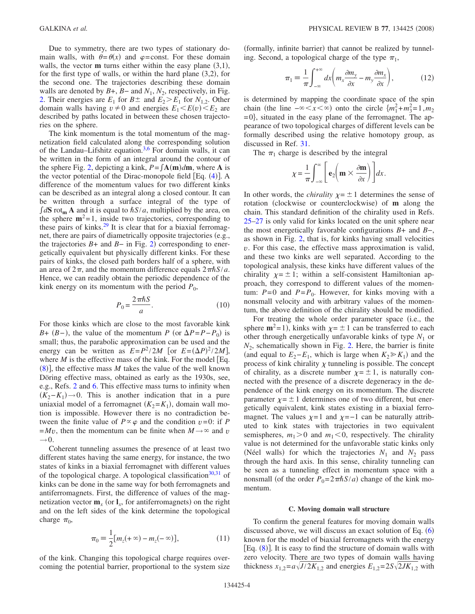Due to symmetry, there are two types of stationary domain walls, with  $\theta = \theta(x)$  and  $\varphi$ =const. For these domain walls, the vector  **turns either within the easy plane**  $(3,1)$ **,** for the first type of walls, or within the hard plane  $(3,2)$ , for the second one. The trajectories describing these domain walls are denoted by  $B +$ ,  $B -$  and  $N_1$ ,  $N_2$ , respectively, in Fig. [2.](#page-2-0) Their energies are  $E_1$  for  $B \pm$  and  $E_2 \ge E_1$  for  $N_{1,2}$ . Other domain walls having  $v \neq 0$  and energies  $E_1 \leq E(v) \leq E_2$  are described by paths located in between these chosen trajectories on the sphere.

The kink momentum is the total momentum of the magnetization field calculated along the corresponding solution of the Landau–Lifshitz equation. $3.6$  $3.6$  For domain walls, it can be written in the form of an integral around the contour of the sphere Fig. [2,](#page-2-0) depicting a kink,  $P = \int A(m)dm$ , where A is the vector potential of the Dirac-monopole field [Eq. ([4](#page-2-2))]. A difference of the momentum values for two different kinks can be described as an integral along a closed contour. It can be written through a surface integral of the type of  $\int dS$  rot<sub>m</sub> **A** and it is equal to  $\hbar S/a$ , multiplied by the area, on the sphere  $m^2$ =1, inside two trajectories, corresponding to these pairs of kinks.<sup>29</sup> It is clear that for a biaxial ferromagnet, there are pairs of diametrically opposite trajectories (e.g., the trajectories  $B+$  and  $B-$  in Fig. [2](#page-2-0)) corresponding to energetically equivalent but physically different kinks. For these pairs of kinks, the closed path borders half of a sphere, with an area of  $2\pi$ , and the momentum difference equals  $2\pi\hbar S/a$ . Hence, we can readily obtain the periodic dependence of the kink energy on its momentum with the period  $P_0$ ,

$$
P_0 = \frac{2\pi\hbar S}{a}.\tag{10}
$$

For those kinks which are close to the most favorable kink *B*+ (*B*−), the value of the momentum *P* (or  $\Delta P = P - P_0$ ) is small; thus, the parabolic approximation can be used and the energy can be written as  $E = P^2 / 2M$  [or  $E = (\Delta P)^2 / 2M$ ], where  $M$  is the effective mass of the kink. For the model  $[Eq.$  $(8)$  $(8)$  $(8)$ ], the effective mass *M* takes the value of the well known Döring effective mass, obtained as early as the 1930s, see, e.g., Refs. [2](#page-10-24) and [6.](#page-10-5) This effective mass turns to infinity when  $(K_2-K_1) \rightarrow 0$ . This is another indication that in a pure uniaxial model of a ferromagnet  $(K_2 = K_1)$ , domain wall motion is impossible. However there is no contradiction between the finite value of  $P \propto \varphi$  and the condition  $v=0$ : if *P*  $=Mv$ , then the momentum can be finite when  $M \rightarrow \infty$  and *v*  $\rightarrow$  0.

Coherent tunneling assumes the presence of at least two different states having the same energy, for instance, the two states of kinks in a biaxial ferromagnet with different values of the topological charge. A topological classification $30,31$  $30,31$  of kinks can be done in the same way for both ferromagnets and antiferromagnets. First, the difference of values of the magnetization vector  $\mathbf{m}_x$  (or  $\mathbf{l}_x$ , for antiferromagnets) on the right and on the left sides of the kink determine the topological charge  $\pi_0$ ,

$$
\pi_0 = \frac{1}{2} [m_z(+\infty) - m_z(-\infty)],
$$
 (11)

of the kink. Changing this topological charge requires overcoming the potential barrier, proportional to the system size

(formally, infinite barrier) that cannot be realized by tunneling. Second, a topological charge of the type  $\pi_1$ ,

$$
\pi_1 = \frac{1}{\pi} \int_{-\infty}^{+\infty} dx \bigg( m_x \frac{\partial m_y}{\partial x} - m_y \frac{\partial m_x}{\partial x} \bigg), \tag{12}
$$

is determined by mapping the coordinate space of the spin chain (the line  $-\infty < x < \infty$ ) onto the circle  $\{m_1^2 + m_3^2 = 1, m_2\}$  $=0$ , situated in the easy plane of the ferromagnet. The appearance of two topological charges of different levels can be formally described using the relative homotopy group, as discussed in Ref. [31.](#page-10-26)

The  $\pi_1$  charge is described by the integral

$$
\chi = \frac{1}{\pi} \int_{-\infty}^{\infty} \left[ \mathbf{e}_2 \bigg( \mathbf{m} \times \frac{\partial \mathbf{m}}{\partial x} \bigg) \right] dx.
$$

In other words, the *chirality*  $\chi = \pm 1$  determines the sense of rotation (clockwise or counterclockwise) of **m** along the chain. This standard definition of the chirality used in Refs. [25](#page-10-19)[–27](#page-10-21) is only valid for kinks located on the unit sphere near the most energetically favorable configurations *B*+ and *B*−, as shown in Fig. [2,](#page-2-0) that is, for kinks having small velocities *v*. For this case, the effective mass approximation is valid, and these two kinks are well separated. According to the topological analysis, these kinks have different values of the chirality  $\chi = \pm 1$ ; within a self-consistent Hamiltonian approach, they correspond to different values of the momentum:  $P=0$  and  $P=P_0$ . However, for kinks moving with a nonsmall velocity and with arbitrary values of the momentum, the above definition of the chirality should be modified.

For treating the whole order parameter space (i.e., the sphere  $m^2$ =1), kinks with  $\chi$ =  $\pm$ 1 can be transferred to each other through energetically unfavorable kinks of type  $N_1$  or  $N_2$ , schematically shown in Fig. [2.](#page-2-0) Here, the barrier is finite (and equal to  $E_2 - E_1$ , which is large when  $K_2 \ge K_1$ ) and the process of kink chirality  $\chi$  tunneling is possible. The concept of chirality, as a discrete number  $\chi = \pm 1$ , is naturally connected with the presence of a discrete degeneracy in the dependence of the kink energy on its momentum. The discrete parameter  $\chi = \pm 1$  determines one of two different, but energetically equivalent, kink states existing in a biaxial ferromagnet. The values  $\chi=1$  and  $\chi=-1$  can be naturally attributed to kink states with trajectories in two equivalent semispheres,  $m_1 > 0$  and  $m_1 < 0$ , respectively. The chirality value is not determined for the unfavorable static kinks only (Néel walls) for which the trajectories  $N_1$  and  $N_2$  pass through the hard axis. In this sense, chirality tunneling can be seen as a tunneling effect in momentum space with a nonsmall (of the order  $P_0 = 2\pi\hbar S/a$ ) change of the kink momentum.

#### **C. Moving domain wall structure**

To confirm the general features for moving domain walls discussed above, we will discuss an exact solution of Eq.  $(6)$  $(6)$  $(6)$ known for the model of biaxial ferromagnets with the energy [Eq. ([8](#page-2-3))]. It is easy to find the structure of domain walls with zero velocity. There are two types of domain walls having thickness  $x_{1,2} = a\sqrt{J/2K_{1,2}}$  and energies  $E_{1,2} = 2S\sqrt{2JK_{1,2}}$  with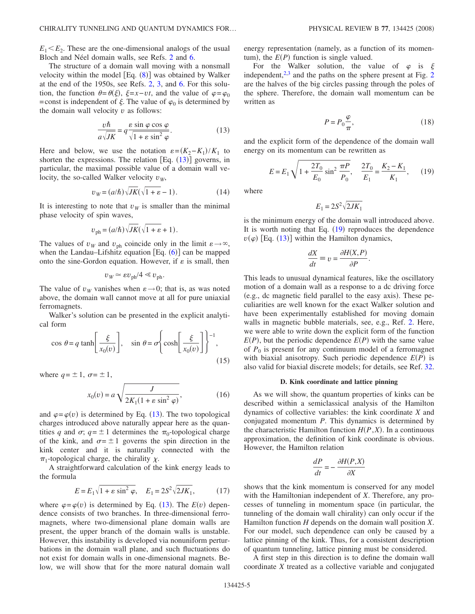$E_1 \leq E_2$ . These are the one-dimensional analogs of the usual Bloch and Néel domain walls, see Refs. [2](#page-10-24) and [6.](#page-10-5)

The structure of a domain wall moving with a nonsmall velocity within the model [Eq. ([8](#page-2-3))] was obtained by Walker at the end of the 1950s, see Refs. [2,](#page-10-24) [3,](#page-10-2) and [6.](#page-10-5) For this solution, the function  $\theta = \theta(\xi)$ ,  $\xi = x - vt$ , and the value of  $\varphi = \varphi_0$ =const is independent of  $\xi$ . The value of  $\varphi_0$  is determined by the domain wall velocity *v* as follows:

$$
\frac{v\hbar}{a\sqrt{JK}} = q\frac{\varepsilon\sin\varphi\cos\varphi}{\sqrt{1+\varepsilon\sin^2\varphi}}.\tag{13}
$$

<span id="page-4-0"></span>Here and below, we use the notation  $\varepsilon = (K_2 - K_1)/K_1$  to shorten the expressions. The relation  $[Eq. (13)]$  $[Eq. (13)]$  $[Eq. (13)]$  governs, in particular, the maximal possible value of a domain wall velocity, the so-called Walker velocity  $v<sub>W</sub>$ ,

$$
v_W = (a/\hbar)\sqrt{JK}(\sqrt{1+\varepsilon} - 1). \tag{14}
$$

It is interesting to note that  $v<sub>W</sub>$  is smaller than the minimal phase velocity of spin waves,

$$
v_{\text{ph}} = (a/\hbar) \sqrt{JK}(\sqrt{1+\varepsilon} + 1).
$$

The values of  $v_W$  and  $v_{ph}$  coincide only in the limit  $\varepsilon \rightarrow \infty$ , when the Landau-Lifshitz equation  $[Eq. (6)]$  $[Eq. (6)]$  $[Eq. (6)]$  can be mapped onto the sine-Gordon equation. However, if  $\varepsilon$  is small, then

$$
v_W \simeq \varepsilon v_{\text{ph}}/4 \ll v_{\text{ph}}.
$$

The value of  $v_W$  vanishes when  $\varepsilon \rightarrow 0$ ; that is, as was noted above, the domain wall cannot move at all for pure uniaxial ferromagnets.

Walker's solution can be presented in the explicit analytical form

$$
\cos \theta = q \tanh\left[\frac{\xi}{x_0(v)}\right], \quad \sin \theta = \sigma \left\{\cosh\left[\frac{\xi}{x_0(v)}\right]\right\}^{-1},\tag{15}
$$

where  $q = \pm 1$ ,  $\sigma = \pm 1$ ,

$$
x_0(v) = a \sqrt{\frac{J}{2K_1(1 + \varepsilon \sin^2 \varphi)}},
$$
\n(16)

and  $\varphi = \varphi(v)$  is determined by Eq. ([13](#page-4-0)). The two topological charges introduced above naturally appear here as the quantities *q* and  $\sigma$ ;  $q = \pm 1$  determines the  $\pi_0$ -topological charge of the kink, and  $\sigma = \pm 1$  governs the spin direction in the kink center and it is naturally connected with the  $\pi_1$ -topological charge, the chirality  $\chi$ .

A straightforward calculation of the kink energy leads to the formula

$$
E = E_1 \sqrt{1 + \varepsilon \sin^2 \varphi}, \quad E_1 = 2S^2 \sqrt{2JK_1}, \quad (17)
$$

where  $\varphi = \varphi(v)$  is determined by Eq. ([13](#page-4-0)). The  $E(v)$  dependence consists of two branches. In three-dimensional ferromagnets, where two-dimensional plane domain walls are present, the upper branch of the domain walls is unstable. However, this instability is developed via nonuniform perturbations in the domain wall plane, and such fluctuations do not exist for domain walls in one-dimensional magnets. Below, we will show that for the more natural domain wall energy representation (namely, as a function of its momentum), the  $E(P)$  function is single valued.

For the Walker solution, the value of  $\varphi$  is  $\xi$ independent, $2<sup>3</sup>$  $2<sup>3</sup>$  and the paths on the sphere present at Fig. 2 are the halves of the big circles passing through the poles of the sphere. Therefore, the domain wall momentum can be written as

$$
P = P_0 \frac{\varphi}{\pi},\tag{18}
$$

<span id="page-4-1"></span>and the explicit form of the dependence of the domain wall energy on its momentum can be rewritten as

$$
E = E_1 \sqrt{1 + \frac{2T_0}{E_0} \sin^2 \frac{\pi P}{P_0}}, \quad \frac{2T_0}{E_1} = \frac{K_2 - K_1}{K_1}, \quad (19)
$$

where

$$
E_1 = 2S^2 \sqrt{2JK_1}
$$

is the minimum energy of the domain wall introduced above. It is worth noting that Eq.  $(19)$  $(19)$  $(19)$  reproduces the dependence  $v(\varphi)$  [Eq. ([13](#page-4-0))] within the Hamilton dynamics,

$$
\frac{dX}{dt} \equiv v = \frac{\partial H(X, P)}{\partial P}.
$$

This leads to unusual dynamical features, like the oscillatory motion of a domain wall as a response to a dc driving force (e.g., dc magnetic field parallel to the easy axis). These peculiarities are well known for the exact Walker solution and have been experimentally established for moving domain walls in magnetic bubble materials, see, e.g., Ref. [2.](#page-10-24) Here, we were able to write down the explicit form of the function  $E(P)$ , but the periodic dependence  $E(P)$  with the same value of  $P_0$  is present for any continuum model of a ferromagnet with biaxial anisotropy. Such periodic dependence  $E(P)$  is also valid for biaxial discrete models; for details, see Ref. [32.](#page-10-27)

### **D. Kink coordinate and lattice pinning**

As we will show, the quantum properties of kinks can be described within a semiclassical analysis of the Hamilton dynamics of collective variables: the kink coordinate *X* and conjugated momentum *P*. This dynamics is determined by the characteristic Hamilton function  $H(P, X)$ . In a continuous approximation, the definition of kink coordinate is obvious. However, the Hamilton relation

$$
\frac{dP}{dt} = -\frac{\partial H(P,X)}{\partial X}
$$

shows that the kink momentum is conserved for any model with the Hamiltonian independent of *X*. Therefore, any processes of tunneling in momentum space (in particular, the tunneling of the domain wall chirality) can only occur if the Hamilton function *H* depends on the domain wall position *X*. For our model, such dependence can only be caused by a lattice pinning of the kink. Thus, for a consistent description of quantum tunneling, lattice pinning must be considered.

A first step in this direction is to define the domain wall coordinate *X* treated as a collective variable and conjugated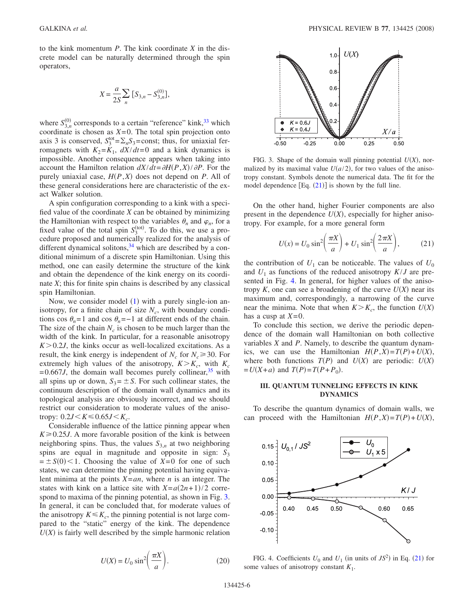to the kink momentum *P*. The kink coordinate *X* in the discrete model can be naturally determined through the spin operators,

$$
X = \frac{a}{2S} \sum_{n} \left[ S_{3,n} - S_{3,n}^{(0)} \right],
$$

where  $S_{3,n}^{(0)}$  corresponds to a certain "reference" kink,<sup>33</sup> which coordinate is chosen as  $X=0$ . The total spin projection onto axis 3 is conserved,  $S_3^{\text{tot}} = \sum_n S_3$ =const; thus, for uniaxial ferromagnets with  $K_2 = K_1$ ,  $dX/dt = 0$  and a kink dynamics is impossible. Another consequence appears when taking into account the Hamilton relation  $dX/dt = \partial H(P, X)/\partial P$ . For the purely uniaxial case,  $H(P, X)$  does not depend on  $P$ . All of these general considerations here are characteristic of the exact Walker solution.

A spin configuration corresponding to a kink with a specified value of the coordinate *X* can be obtained by minimizing the Hamiltonian with respect to the variables  $\theta_n$  and  $\varphi_n$ , for a fixed value of the total spin  $S_3^{(tot)}$ . To do this, we use a procedure proposed and numerically realized for the analysis of different dynamical solitons, $34$  which are described by a conditional minimum of a discrete spin Hamiltonian. Using this method, one can easily determine the structure of the kink and obtain the dependence of the kink energy on its coordinate *X*; this for finite spin chains is described by any classical spin Hamiltonian.

Now, we consider model  $(1)$  $(1)$  $(1)$  with a purely single-ion anisotropy, for a finite chain of size  $N_c$ , with boundary conditions cos  $\theta_n = 1$  and cos  $\theta_n = -1$  at different ends of the chain. The size of the chain  $N_c$  is chosen to be much larger than the width of the kink. In particular, for a reasonable anisotropy  $K > 0.2J$ , the kinks occur as well-localized excitations. As a result, the kink energy is independent of  $N_c$  for  $N_c \geq 30$ . For extremely high values of the anisotropy,  $K > K_c$ , with  $K_c$  $=0.667J$ , the domain wall becomes purely collinear,  $35$  with all spins up or down,  $S_3 = \pm S$ . For such collinear states, the continuum description of the domain wall dynamics and its topological analysis are obviously incorrect, and we should restrict our consideration to moderate values of the anisotropy:  $0.2J < K \le 0.65J < K_c$ .

Considerable influence of the lattice pinning appear when  $K \geq 0.25J$ . A more favorable position of the kink is between neighboring spins. Thus, the values  $S_{3,n}$  at two neighboring spins are equal in magnitude and opposite in sign:  $S_3$  $= \pm S(0)$  < 1. Choosing the value of *X*=0 for one of such states, we can determine the pinning potential having equivalent minima at the points *X*=*an*, where *n* is an integer. The states with kink on a lattice site with  $X = a(2n+1)/2$  corre-spond to maxima of the pinning potential, as shown in Fig. [3.](#page-5-0) In general, it can be concluded that, for moderate values of the anisotropy  $K \leq K_c$ , the pinning potential is not large compared to the "static" energy of the kink. The dependence  $U(X)$  is fairly well described by the simple harmonic relation

<span id="page-5-3"></span>
$$
U(X) = U_0 \sin^2\left(\frac{\pi X}{a}\right). \tag{20}
$$

<span id="page-5-0"></span>

FIG. 3. Shape of the domain wall pinning potential  $U(X)$ , normalized by its maximal value  $U(a/2)$ , for two values of the anisotropy constant. Symbols denote the numerical data. The fit for the model dependence  $[Eq. (21)]$  $[Eq. (21)]$  $[Eq. (21)]$  is shown by the full line.

<span id="page-5-2"></span>On the other hand, higher Fourier components are also present in the dependence  $U(X)$ , especially for higher anisotropy. For example, for a more general form

$$
U(x) = U_0 \sin^2\left(\frac{\pi X}{a}\right) + U_1 \sin^2\left(\frac{2\pi X}{a}\right),\tag{21}
$$

the contribution of  $U_1$  can be noticeable. The values of  $U_0$ and  $U_1$  as functions of the reduced anisotropy  $K/J$  are presented in Fig. [4.](#page-5-1) In general, for higher values of the anisotropy  $K$ , one can see a broadening of the curve  $U(X)$  near its maximum and, correspondingly, a narrowing of the curve near the minima. Note that when  $K > K_c$ , the function  $U(X)$ has a cusp at  $X=0$ .

To conclude this section, we derive the periodic dependence of the domain wall Hamiltonian on both collective variables *X* and *P*. Namely, to describe the quantum dynamics, we can use the Hamiltonian  $H(P,X) = T(P) + U(X)$ , where both functions  $T(P)$  and  $U(X)$  are periodic:  $U(X)$  $= U(X + a)$  and  $T(P) = T(P + P_0)$ .

## **III. QUANTUM TUNNELING EFFECTS IN KINK DYNAMICS**

To describe the quantum dynamics of domain walls, we can proceed with the Hamiltonian  $H(P,X) = T(P) + U(X)$ ,

<span id="page-5-1"></span>

FIG. 4. Coefficients  $U_0$  and  $U_1$  (in units of  $JS^2$ ) in Eq. ([21](#page-5-2)) for some values of anisotropy constant *K*1.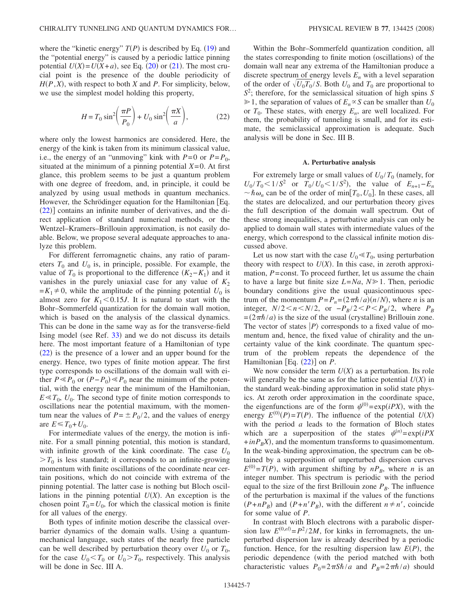where the "kinetic energy"  $T(P)$  is described by Eq. ([19](#page-4-1)) and the "potential energy" is caused by a periodic lattice pinning potential  $U(X) = U(X + a)$ , see Eq. ([20](#page-5-3)) or ([21](#page-5-2)). The most crucial point is the presence of the double periodicity of  $H(P, X)$ , with respect to both *X* and *P*. For simplicity, below, we use the simplest model holding this property,

$$
H = T_0 \sin^2\left(\frac{\pi P}{P_0}\right) + U_0 \sin^2\left(\frac{\pi X}{a}\right),\tag{22}
$$

<span id="page-6-0"></span>where only the lowest harmonics are considered. Here, the energy of the kink is taken from its minimum classical value, i.e., the energy of an "unmoving" kink with  $P=0$  or  $P=P_0$ , situated at the minimum of a pinning potential  $X=0$ . At first glance, this problem seems to be just a quantum problem with one degree of freedom, and, in principle, it could be analyzed by using usual methods in quantum mechanics. However, the Schrödinger equation for the Hamiltonian Eq.  $(22)$  $(22)$  $(22)$ ] contains an infinite number of derivatives, and the direct application of standard numerical methods, or the Wentzel–Kramers–Brillouin approximation, is not easily doable. Below, we propose several adequate approaches to analyze this problem.

For different ferromagnetic chains, any ratio of parameters  $T_0$  and  $U_0$  is, in principle, possible. For example, the value of  $T_0$  is proportional to the difference  $(K_2 - K_1)$  and it vanishes in the purely uniaxial case for any value of  $K_2$  $= K_1 \neq 0$ , while the amplitude of the pinning potential  $U_0$  is almost zero for  $K_1 < 0.15J$ . It is natural to start with the Bohr–Sommerfeld quantization for the domain wall motion, which is based on the analysis of the classical dynamics. This can be done in the same way as for the transverse-field Ising model (see Ref. [33](#page-10-28)) and we do not discuss its details here. The most important feature of a Hamiltonian of type  $(22)$  $(22)$  $(22)$  is the presence of a lower and an upper bound for the energy. Hence, two types of finite motion appear. The first type corresponds to oscillations of the domain wall with either  $P \ll P_0$  or  $(P - P_0) \ll P_0$  near the minimum of the potential, with the energy near the minimum of the Hamiltonian,  $E \ll T_0$ ,  $U_0$ . The second type of finite motion corresponds to oscillations near the potential maximum, with the momentum near the values of  $P = \pm P_0 / 2$ , and the values of energy are  $E \le T_0 + U_0$ .

For intermediate values of the energy, the motion is infinite. For a small pinning potential, this motion is standard, with infinite growth of the kink coordinate. The case  $U_0$  $>T_0$  is less standard; it corresponds to an infinite-growing momentum with finite oscillations of the coordinate near certain positions, which do not coincide with extrema of the pinning potential. The latter case is nothing but Bloch oscillations in the pinning potential  $U(X)$ . An exception is the chosen point  $T_0 = U_0$ , for which the classical motion is finite for all values of the energy.

Both types of infinite motion describe the classical overbarrier dynamics of the domain walls. Using a quantummechanical language, such states of the nearly free particle can be well described by perturbation theory over  $U_0$  or  $T_0$ , for the case  $U_0 < T_0$  or  $U_0 > T_0$ , respectively. This analysis will be done in Sec. III A.

Within the Bohr–Sommerfeld quantization condition, all the states corresponding to finite motion (oscillations) of the domain wall near any extrema of the Hamiltonian produce a discrete spectrum of energy levels *En* with a level separation of the order of  $\sqrt{U_0 T_0 / S}$ . Both  $U_0$  and  $T_0$  are proportional to *S*2 ; therefore, for the semiclassical situation of high spins *S*  $\geq 1$ , the separation of values of  $E_n \propto S$  can be smaller than  $U_0$ or  $T_0$ . These states, with energy  $E_n$ , are well localized. For them, the probability of tunneling is small, and for its estimate, the semiclassical approximation is adequate. Such analysis will be done in Sec. III B.

#### **A. Perturbative analysis**

For extremely large or small values of  $U_0/T_0$  (namely, for  $U_0 / T_0 \leq 1 / S^2$  or  $T_0 / U_0 \leq 1 / S^2$ , the value of  $E_{n+1} - E_n$  $\sim \hbar \omega_n$  can be of the order of min[ $T_0, U_0$ ]. In these cases, all the states are delocalized, and our perturbation theory gives the full description of the domain wall spectrum. Out of these strong inequalities, a perturbative analysis can only be applied to domain wall states with intermediate values of the energy, which correspond to the classical infinite motion discussed above.

Let us now start with the case  $U_0 \ll T_0$ , using perturbation theory with respect to  $U(X)$ . In this case, in zeroth approximation, *P*=const. To proceed further, let us assume the chain to have a large but finite size  $L = Na$ ,  $N \ge 1$ . Then, periodic boundary conditions give the usual quasicontinuous spectrum of the momentum  $P = P_n = (2\pi\hbar/a)(n/N)$ , where *n* is an integer,  $N/2 < n < N/2$ , or  $-P_B/2 < P < P_B/2$ , where  $P_B$  $=(2\pi\hbar/a)$  is the size of the usual (crystalline) Brillouin zone. The vector of states  $|P\rangle$  corresponds to a fixed value of momentum and, hence, the fixed value of chirality and the uncertainty value of the kink coordinate. The quantum spectrum of the problem repeats the dependence of the Hamiltonian [Eq.  $(22)$  $(22)$  $(22)$ ] on *P*.

We now consider the term  $U(X)$  as a perturbation. Its role will generally be the same as for the lattice potential  $U(X)$  in the standard weak-binding approximation in solid state physics. At zeroth order approximation in the coordinate space, the eigenfunctions are of the form  $\psi^{(0)} = \exp(iPX)$ , with the energy  $E^{(0)}(P) = T(P)$ . The influence of the potential  $U(X)$ with the period *a* leads to the formation of Bloch states which are a superposition of the states  $\psi^{(n)} = \exp(iPX)$  $+$ *inP<sub>B</sub>X*), and the momentum transforms to quasimomentum. In the weak-binding approximation, the spectrum can be obtained by a superposition of unperturbed dispersion curves  $E^{(0)} = T(P)$ , with argument shifting by  $nP_B$ , where *n* is an integer number. This spectrum is periodic with the period equal to the size of the first Brillouin zone  $P_B$ . The influence of the perturbation is maximal if the values of the functions  $(P+nP_B)$  and  $(P+n'P_B)$ , with the different  $n \neq n'$ , coincide for some value of *P*.

In contrast with Bloch electrons with a parabolic dispersion law  $E^{(0,el)} = P^2 / 2M$ , for kinks in ferromagnets, the unperturbed dispersion law is already described by a periodic function. Hence, for the resulting dispersion law  $E(P)$ , the periodic dependence (with the period matched with both characteristic values  $P_0 = 2\pi S\hbar/a$  and  $P_B = 2\pi\hbar/a$  should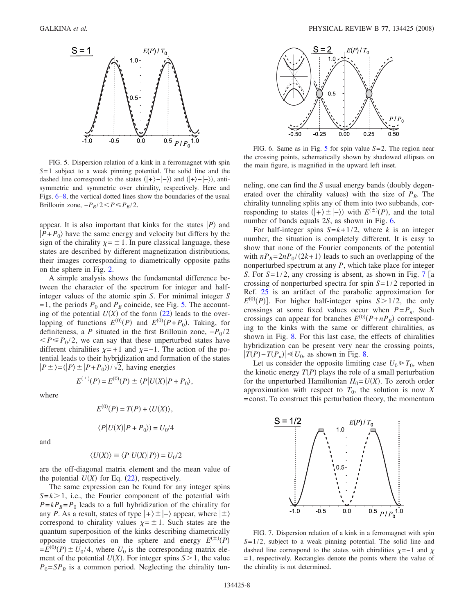<span id="page-7-0"></span>

FIG. 5. Dispersion relation of a kink in a ferromagnet with spin *S*=1 subject to a weak pinning potential. The solid line and the dashed line correspond to the states  $(|+\rangle - |-\rangle)$  and  $(|+\rangle - |-\rangle)$ , antisymmetric and symmetric over chirality, respectively. Here and Figs. [6–](#page-7-1)[8,](#page-8-0) the vertical dotted lines show the boundaries of the usual Brillouin zone,  $-P_B/2 < P \le P_B/2$ .

appear. It is also important that kinks for the states  $|P\rangle$  and  $|P+P_0\rangle$  have the same energy and velocity but differs by the sign of the chirality  $\chi = \pm 1$ . In pure classical language, these states are described by different magnetization distributions, their images corresponding to diametrically opposite paths on the sphere in Fig. [2.](#page-2-0)

A simple analysis shows the fundamental difference between the character of the spectrum for integer and halfinteger values of the atomic spin *S*. For minimal integer *S*  $=1$ , the periods  $P_0$  and  $P_B$  coincide, see Fig. [5.](#page-7-0) The accounting of the potential  $U(X)$  of the form  $(22)$  $(22)$  $(22)$  leads to the overlapping of functions  $E^{(0)}(P)$  and  $E^{(0)}(P+P_0)$ . Taking, for definiteness, a *P* situated in the first Brillouin zone,  $-P_0/2$  $\langle P \leq P_0/2$ , we can say that these unperturbed states have different chiralities  $\chi = +1$  and  $\chi = -1$ . The action of the potential leads to their hybridization and formation of the states  $|P \pm \rangle = (|P \rangle \pm |P + P_0\rangle)/\sqrt{2}$ , having energies

where

$$
E^{(0)}(P) = T(P) + \langle U(X) \rangle,
$$
  

$$
\langle P|U(X)|P + P_0 \rangle = U_0/4
$$

 $E^{(\pm)}(P) = E^{(0)}(P) \pm \langle P | U(X) | P + P_0 \rangle,$ 

and

$$
\langle U(X) \rangle \equiv \langle P | U(X) | P \rangle) = U_0/2
$$

are the off-diagonal matrix element and the mean value of the potential  $U(X)$  for Eq.  $(22)$  $(22)$  $(22)$ , respectively.

The same expression can be found for any integer spins  $S=k>1$ , i.e., the Fourier component of the potential with  $P=kP_B=P_0$  leads to a full hybridization of the chirality for any *P*. As a result, states of type  $|+\rangle \pm |-\rangle$  appear, where  $| \pm \rangle$ correspond to chirality values  $\chi = \pm 1$ . Such states are the quantum superposition of the kinks describing diametrically opposite trajectories on the sphere and energy  $E^{(\pm)}(P)$  $E(E^{(0)}(P) \pm U_0/4$ , where  $U_0$  is the corresponding matrix element of the potential  $U(X)$ . For integer spins  $S > 1$ , the value  $P_0 = SP_B$  is a common period. Neglecting the chirality tun-

<span id="page-7-1"></span>

FIG. 6. Same as in Fig. [5](#page-7-0) for spin value *S*=2. The region near the crossing points, schematically shown by shadowed ellipses on the main figure, is magnified in the upward left inset.

neling, one can find the *S* usual energy bands (doubly degenerated over the chirality values) with the size of  $P_B$ . The chirality tunneling splits any of them into two subbands, corresponding to states  $(|+\rangle \pm |-\rangle)$  with  $E^{(\pm)}(P)$ , and the total number of bands equals 2*S*, as shown in Fig. [6.](#page-7-1)

For half-integer spins  $S = k + 1/2$ , where *k* is an integer number, the situation is completely different. It is easy to show that none of the Fourier components of the potential with  $nP_B = 2nP_0/(2k+1)$  leads to such an overlapping of the nonperturbed spectrum at any *P*, which take place for integer *S*. For  $S=1/2$ , any crossing is absent, as shown in Fig. [7](#page-7-2) [a crossing of nonperturbed spectra for spin *S*=1/2 reported in Ref. [25](#page-10-19) is an artifact of the parabolic approximation for  $E^{(0)}(P)$ ]. For higher half-integer spins  $S > 1/2$ , the only crossings at some fixed values occur when  $P = P_n$ . Such crossings can appear for branches  $E^{(0)}(P+nP_B)$  corresponding to the kinks with the same or different chiralities, as shown in Fig. [8.](#page-8-0) For this last case, the effects of chiralities hybridization can be present very near the crossing points,  $|T(P) - T(P_n)|$  ≤ *U*<sub>0</sub>, as shown in Fig. [8.](#page-8-0)

Let us consider the opposite limiting case  $U_0 \ge T_0$ , when the kinetic energy  $T(P)$  plays the role of a small perturbation for the unperturbed Hamiltonian  $H_0 = U(X)$ . To zeroth order approximation with respect to  $T_0$ , the solution is now X =const. To construct this perturbation theory, the momentum

<span id="page-7-2"></span>

FIG. 7. Dispersion relation of a kink in a ferromagnet with spin *S*=1/2, subject to a weak pinning potential. The solid line and dashed line correspond to the states with chiralities  $\chi = -1$  and  $\chi$ =1, respectively. Rectangles denote the points where the value of the chirality is not determined.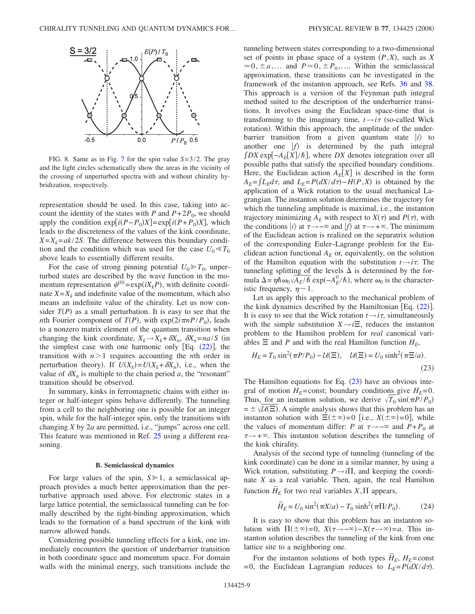<span id="page-8-0"></span>

FIG. 8. Same as in Fig. [7](#page-7-2) for the spin value *S*=3/2. The gray and the light circles schematically show the areas in the vicinity of the crossing of unperturbed spectra with and without chirality hybridization, respectively.

representation should be used. In this case, taking into account the identity of the states with *P* and  $P+2P_0$ , we should apply the condition  $exp[i(P - P_0)X] = exp[i(P + P_0)X]$ , which leads to the discreteness of the values of the kink coordinate,  $X=X_k=ak/2S$ . The difference between this boundary condition and the condition which was used for the case  $U_0 \ll T_0$ above leads to essentially different results.

For the case of strong pinning potential  $U_0 \ge T_0$ , unperturbed states are described by the wave function in the momentum representation  $\psi^{(0)} = \exp(iX_kP)$ , with definite coordinate  $X = X_k$  and indefinite value of the momentum, which also means an indefinite value of the chirality. Let us now consider  $T(P)$  as a small perturbation. It is easy to see that the *nth* Fourier component of  $T(P)$ , with  $exp(2i\pi nP/P_0)$ , leads to a nonzero matrix element of the quantum transition when changing the kink coordinate,  $X_k \rightarrow X_k + \delta X_n$ ,  $\delta X_n = na / S$  (in the simplest case with one harmonic only  $[Eq. (22)]$  $[Eq. (22)]$  $[Eq. (22)]$ , the transition with  $n>1$  requires accounting the *n*th order in perturbation theory). If  $U(X_k) = U(X_k + \delta X_n)$ , i.e., when the value of  $\delta X_n$  is multiple to the chain period *a*, the "resonant" transition should be observed.

In summary, kinks in ferromagnetic chains with either integer or half-integer spins behave differently. The tunneling from a cell to the neighboring one is possible for an integer spin, while for the half-integer spin, only the transitions with changing *X* by 2*a* are permitted, i.e., "jumps" across one cell. This feature was mentioned in Ref. [25](#page-10-19) using a different reasoning.

#### **B. Semiclassical dynamics**

For large values of the spin,  $S \ge 1$ , a semiclassical approach provides a much better approximation than the perturbative approach used above. For electronic states in a large lattice potential, the semiclassical tunneling can be formally described by the tight-binding approximation, which leads to the formation of a band spectrum of the kink with narrow allowed bands.

Considering possible tunneling effects for a kink, one immediately encounters the question of underbarrier transition in both coordinate space and momentum space. For domain walls with the minimal energy, such transitions include the tunneling between states corresponding to a two-dimensional set of points in phase space of a system  $(P,X)$ , such as  $X$  $\approx 0, \pm a,...$  and  $P \approx 0, \pm P_0,...$  Within the semiclassical approximation, these transitions can be investigated in the framework of the instanton approach, see Refs. [36](#page-10-31) and [38.](#page-10-32) This approach is a version of the Feynman path integral method suited to the description of the underbarrier transitions. It involves using the Euclidean space-time that is transforming to the imaginary time,  $t \rightarrow i\tau$  (so-called Wick rotation). Within this approach, the amplitude of the underbarrier transition from a given quantum state  $|i\rangle$  to another one  $|f\rangle$  is determined by the path integral  $\int DX \exp[-A_E[X]/\hbar]$ , where *DX* denotes integration over all possible paths that satisfy the specified boundary conditions. Here, the Euclidean action  $A_E[X]$  is described in the form  $A_E = \int L_E d\tau$ , and  $L_E = P(dX/d\tau) - H(P, X)$  is obtained by the application of a Wick rotation to the usual mechanical Lagrangian. The instanton solution determines the trajectory for which the tunneling amplitude is maximal, i.e., the instanton trajectory minimizing  $A_E$  with respect to  $X(\tau)$  and  $P(\tau)$ , with the conditions *i*) at  $\tau \rightarrow -\infty$  and *f*) at  $\tau \rightarrow +\infty$ . The minimum of the Euclidean action is realized on the separatrix solution of the corresponding Euler–Lagrange problem for the Euclidean action functional  $A_E$  or, equivalently, on the solution of the Hamilton equation with the substitution  $t \rightarrow i\tau$ . The tunneling splitting of the levels  $\Delta$  is determined by the formula  $\Delta = \eta \hbar \omega_0 \sqrt{A_E/\hbar} \exp(-A_E^0/\hbar)$ , where  $\omega_0$  is the characteristic frequency,  $\eta \sim 1$ .

Let us apply this approach to the mechanical problem of the kink dynamics described by the Hamiltonian [Eq.  $(22)$  $(22)$  $(22)$ ]. It is easy to see that the Wick rotation  $t \rightarrow i\tau$ , simultaneously with the simple substitution  $X \rightarrow i\Xi$ , reduces the instanton problem to the Hamilton problem for *real* canonical variables  $\Xi$  and *P* and with the real Hamilton function  $H_E$ ,

<span id="page-8-1"></span>
$$
H_E = T_0 \sin^2(\pi P/P_0) - \mathcal{U}(\Xi), \quad \mathcal{U}(\Xi) = U_0 \sinh^2(\pi \Xi/a).
$$
\n(23)

The Hamilton equations for Eq.  $(23)$  $(23)$  $(23)$  have an obvious integral of motion  $H_E$ =const; boundary conditions give  $H_E$ =0. Thus, for an instanton solution, we derive  $\sqrt{T_0} \sin(\pi P/P_0)$  $= \pm \sqrt{l(E)}$ . A simple analysis shows that this problem has an instanton solution with  $\Xi(\pm \infty)=0$  [i.e.,  $X(\pm \infty)=0$ ], while the values of momentum differ: *P* at  $\tau \rightarrow -\infty$  and  $P + P_0$  at  $\tau \rightarrow +\infty$ . This instanton solution describes the tunneling of the kink chirality.

Analysis of the second type of tunneling (tunneling of the kink coordinate) can be done in a similar manner, by using a Wick rotation, substituting  $P \rightarrow i\Pi$ , and keeping the coordinate *X* as a real variable. Then, again, the real Hamilton function  $\overline{H}_E$  for two real variables *X*,  $\Pi$  appears,

$$
\bar{H}_E = U_0 \sin^2(\pi X/a) - T_0 \sinh^2(\pi \Pi/P_0).
$$
 (24)

<span id="page-8-2"></span>It is easy to show that this problem has an instanton solution with  $\Pi(\pm \infty) = 0$ ,  $X(\tau \to -\infty) - X(\tau \to \infty) = a$ . This instanton solution describes the tunneling of the kink from one lattice site to a neighboring one.

For the instanton solutions of both types  $\overline{H}_E$ ,  $H_E$ =const  $=0$ , the Euclidean Lagrangian reduces to  $L_E = P(dX/d\tau)$ .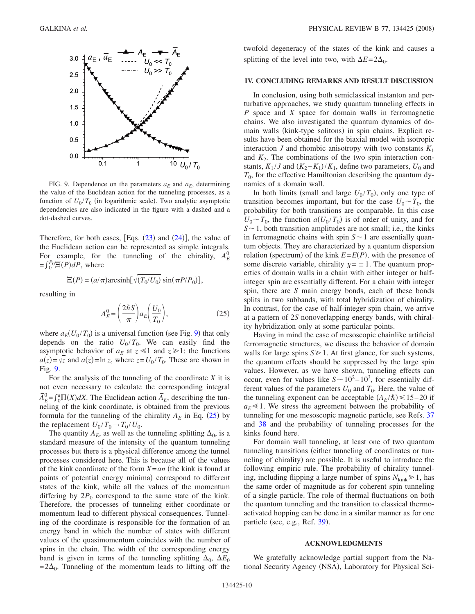<span id="page-9-0"></span>

FIG. 9. Dependence on the parameters  $a_E$  and  $\bar{a}_E$ , determining the value of the Euclidean action for the tunneling processes, as a function of  $U_0/T_0$  (in logarithmic scale). Two analytic asymptotic dependencies are also indicated in the figure with a dashed and a dot-dashed curves.

Therefore, for both cases,  $[Eqs. (23)$  $[Eqs. (23)$  $[Eqs. (23)$  and  $(24)$  $(24)$  $(24)$ ], the value of the Euclidean action can be represented as simple integrals. For example, for the tunneling of the chirality,  $A_E^0$  $=f_0^P \Xi(P) dP$ , where

$$
\Xi(P) = (a/\pi)\arcsinh[\sqrt{(T_0/U_0)}\sin(\pi P/P_0)],
$$

<span id="page-9-1"></span>resulting in

$$
A_E^0 = \left(\frac{2\hbar S}{\pi}\right) a_E \left(\frac{U_0}{T_0}\right),\tag{25}
$$

where  $a_E(U_0/T_0)$  is a universal function (see Fig. [9](#page-9-0)) that only depends on the ratio  $U_0/T_0$ . We can easily find the asymptotic behavior of  $a_E$  at  $z \le 1$  and  $z \ge 1$ : the functions  $a(z) = \sqrt{z}$  and  $a(z) = \ln z$ , where  $z = U_0 / T_0$ . These are shown in Fig. [9.](#page-9-0)

For the analysis of the tunneling of the coordinate *X* it is not even necessary to calculate the corresponding integral  $\overline{A}_{E}^{\text{o}} = \int_{0}^{a} \Pi(X) dX$ . The Euclidean action  $\overline{A}_{E}$ , describing the tunneling of the kink coordinate, is obtained from the previous formula for the tunneling of the chirality  $A_E$  in Eq. ([25](#page-9-1)) by the replacement  $U_0/T_0 \rightarrow T_0/U_0$ .

The quantity  $A_E$ , as well as the tunneling splitting  $\Delta_0$ , is a standard measure of the intensity of the quantum tunneling processes but there is a physical difference among the tunnel processes considered here. This is because all of the values of the kink coordinate of the form  $X = an$  (the kink is found at points of potential energy minima) correspond to different states of the kink, while all the values of the momentum differing by  $2P_0$  correspond to the same state of the kink. Therefore, the processes of tunneling either coordinate or momentum lead to different physical consequences. Tunneling of the coordinate is responsible for the formation of an energy band in which the number of states with different values of the quasimomentum coincides with the number of spins in the chain. The width of the corresponding energy band is given in terms of the tunneling splitting  $\Delta_0$ ,  $\Delta E_0$  $=2\Delta_0$ . Tunneling of the momentum leads to lifting off the

twofold degeneracy of the states of the kink and causes a splitting of the level into two, with  $\Delta E = 2\overline{\Delta}_0$ .

### **IV. CONCLUDING REMARKS AND RESULT DISCUSSION**

In conclusion, using both semiclassical instanton and perturbative approaches, we study quantum tunneling effects in *P* space and *X* space for domain walls in ferromagnetic chains. We also investigated the quantum dynamics of domain walls (kink-type solitons) in spin chains. Explicit results have been obtained for the biaxial model with isotropic interaction  $J$  and rhombic anisotropy with two constants  $K_1$ and  $K_2$ . The combinations of the two spin interaction constants,  $K_1 / J$  and  $(K_2 - K_1) / K_1$ , define two parameters,  $U_0$  and  $T_0$ , for the effective Hamiltonian describing the quantum dynamics of a domain wall.

In both limits (small and large  $U_0 / T_0$ ), only one type of transition becomes important, but for the case  $U_0 \sim T_0$ , the probability for both transitions are comparable. In this case  $U_0 \sim T_0$ , the function  $a(U_0/T_0)$  is of order of unity, and for  $S \sim 1$ , both transition amplitudes are not small; i.e., the kinks in ferromagnetic chains with spin  $S \sim 1$  are essentially quantum objects. They are characterized by a quantum dispersion relation (spectrum) of the kink  $E = E(P)$ , with the presence of some discrete variable, chirality  $\chi = \pm 1$ . The quantum properties of domain walls in a chain with either integer or halfinteger spin are essentially different. For a chain with integer spin, there are *S* main energy bonds, each of these bonds splits in two subbands, with total hybridization of chirality. In contrast, for the case of half-integer spin chain, we arrive at a pattern of 2*S* nonoverlapping energy bands, with chirality hybridization only at some particular points.

Having in mind the case of mesoscopic chainlike artificial ferromagnetic structures, we discuss the behavior of domain walls for large spins  $S \ge 1$ . At first glance, for such systems, the quantum effects should be suppressed by the large spin values. However, as we have shown, tunneling effects can occur, even for values like  $S \sim 10^2 - 10^3$ , for essentially different values of the parameters  $U_0$  and  $T_0$ . Here, the value of the tunneling exponent can be acceptable  $(A_E/\hbar) \le 15-20$  if  $a_E \leq 1$ . We stress the agreement between the probability of tunneling for one mesoscopic magnetic particle, see Refs. [37](#page-10-33) and [38](#page-10-32) and the probability of tunneling processes for the kinks found here.

For domain wall tunneling, at least one of two quantum tunneling transitions (either tunneling of coordinates or tunneling of chirality) are possible. It is useful to introduce the following empiric rule. The probability of chirality tunneling, including flipping a large number of spins  $N_{\text{kink}} \geq 1$ , has the same order of magnitude as for coherent spin tunneling of a single particle. The role of thermal fluctuations on both the quantum tunneling and the transition to classical thermoactivated hopping can be done in a similar manner as for one particle (see, e.g., Ref. [39](#page-10-34)).

#### **ACKNOWLEDGMENTS**

We gratefully acknowledge partial support from the National Security Agency (NSA), Laboratory for Physical Sci-